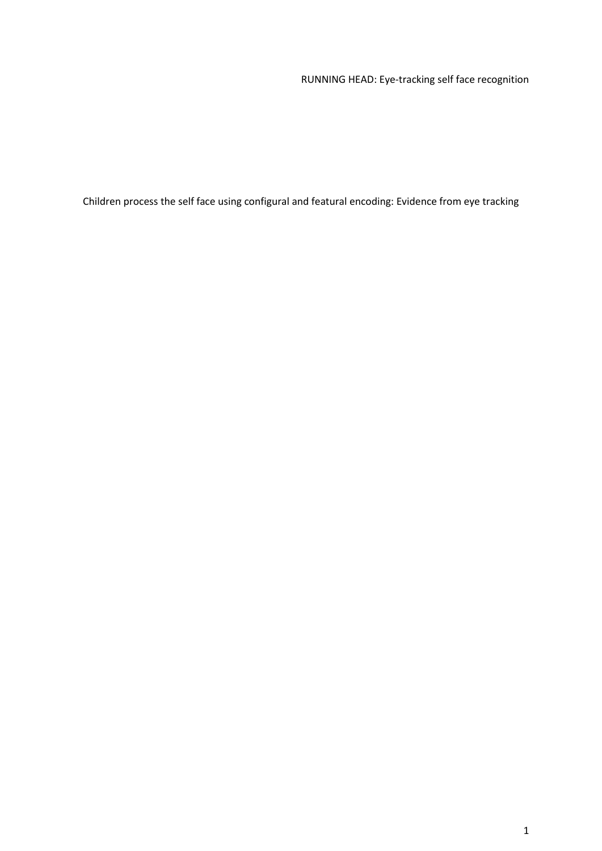# RUNNING HEAD: Eye-tracking self face recognition

Children process the self face using configural and featural encoding: Evidence from eye tracking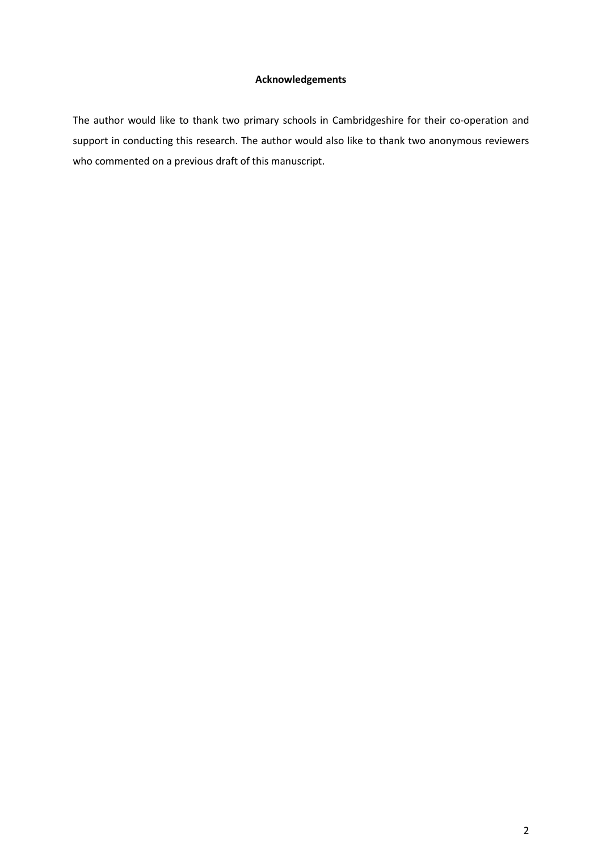## **Acknowledgements**

The author would like to thank two primary schools in Cambridgeshire for their co-operation and support in conducting this research. The author would also like to thank two anonymous reviewers who commented on a previous draft of this manuscript.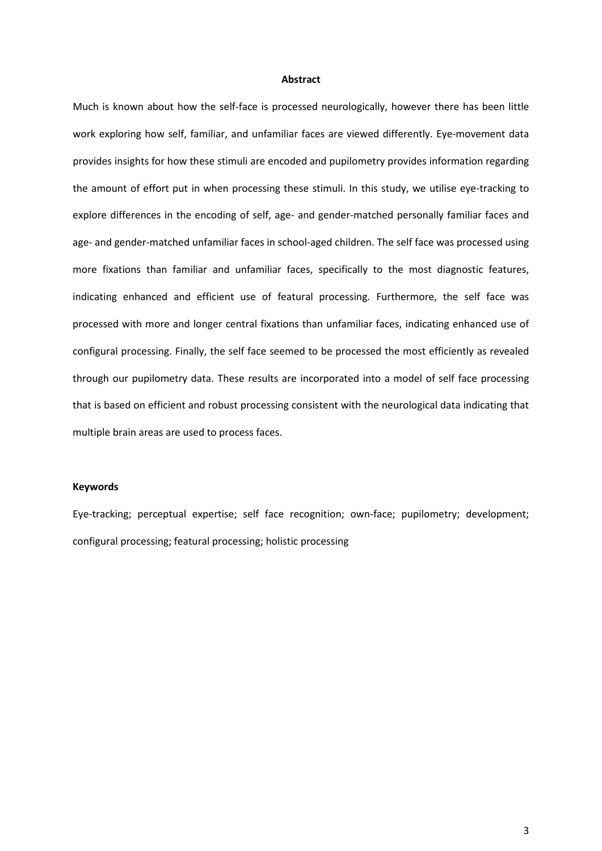#### **Abstract**

Much is known about how the self-face is processed neurologically, however there has been little work exploring how self, familiar, and unfamiliar faces are viewed differently. Eye-movement data provides insights for how these stimuli are encoded and pupilometry provides information regarding the amount of effort put in when processing these stimuli. In this study, we utilise eye-tracking to explore differences in the encoding of self, age- and gender-matched personally familiar faces and age- and gender-matched unfamiliar faces in school-aged children. The self face was processed using more fixations than familiar and unfamiliar faces, specifically to the most diagnostic features, indicating enhanced and efficient use of featural processing. Furthermore, the self face was processed with more and longer central fixations than unfamiliar faces, indicating enhanced use of configural processing. Finally, the self face seemed to be processed the most efficiently as revealed through our pupilometry data. These results are incorporated into a model of self face processing that is based on efficient and robust processing consistent with the neurological data indicating that multiple brain areas are used to process faces.

## **Keywords**

Eye-tracking; perceptual expertise; self face recognition; own-face; pupilometry; development; configural processing; featural processing; holistic processing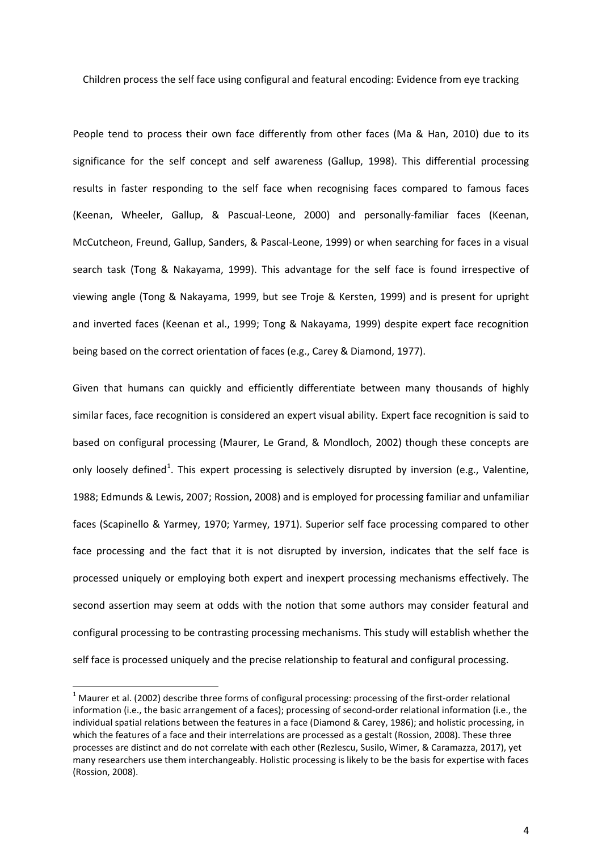Children process the self face using configural and featural encoding: Evidence from eye tracking

People tend to process their own face differently from other faces (Ma & Han, 2010) due to its significance for the self concept and self awareness (Gallup, 1998). This differential processing results in faster responding to the self face when recognising faces compared to famous faces (Keenan, Wheeler, Gallup, & Pascual-Leone, 2000) and personally-familiar faces (Keenan, McCutcheon, Freund, Gallup, Sanders, & Pascal-Leone, 1999) or when searching for faces in a visual search task (Tong & Nakayama, 1999). This advantage for the self face is found irrespective of viewing angle (Tong & Nakayama, 1999, but see Troje & Kersten, 1999) and is present for upright and inverted faces (Keenan et al., 1999; Tong & Nakayama, 1999) despite expert face recognition being based on the correct orientation of faces (e.g., Carey & Diamond, 1977).

Given that humans can quickly and efficiently differentiate between many thousands of highly similar faces, face recognition is considered an expert visual ability. Expert face recognition is said to based on configural processing (Maurer, Le Grand, & Mondloch, 2002) though these concepts are only loosely defined<sup>[1](#page-3-0)</sup>. This expert processing is selectively disrupted by inversion (e.g., Valentine, 1988; Edmunds & Lewis, 2007; Rossion, 2008) and is employed for processing familiar and unfamiliar faces (Scapinello & Yarmey, 1970; Yarmey, 1971). Superior self face processing compared to other face processing and the fact that it is not disrupted by inversion, indicates that the self face is processed uniquely or employing both expert and inexpert processing mechanisms effectively. The second assertion may seem at odds with the notion that some authors may consider featural and configural processing to be contrasting processing mechanisms. This study will establish whether the self face is processed uniquely and the precise relationship to featural and configural processing.

<span id="page-3-0"></span> $1$  Maurer et al. (2002) describe three forms of configural processing: processing of the first-order relational information (i.e., the basic arrangement of a faces); processing of second-order relational information (i.e., the individual spatial relations between the features in a face (Diamond & Carey, 1986); and holistic processing, in which the features of a face and their interrelations are processed as a gestalt (Rossion, 2008). These three processes are distinct and do not correlate with each other (Rezlescu, Susilo, Wimer, & Caramazza, 2017), yet many researchers use them interchangeably. Holistic processing is likely to be the basis for expertise with faces (Rossion, 2008).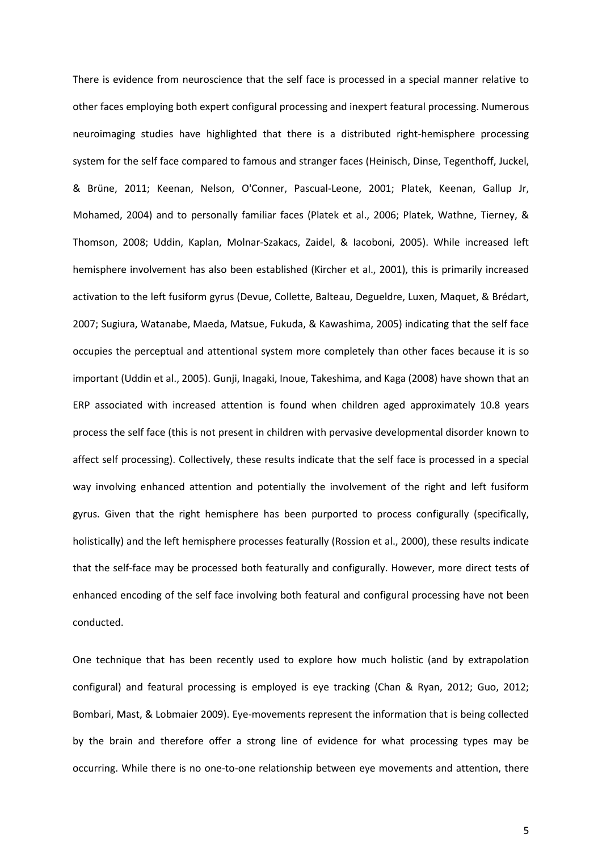There is evidence from neuroscience that the self face is processed in a special manner relative to other faces employing both expert configural processing and inexpert featural processing. Numerous neuroimaging studies have highlighted that there is a distributed right-hemisphere processing system for the self face compared to famous and stranger faces (Heinisch, Dinse, Tegenthoff, Juckel, & Brüne, 2011; Keenan, Nelson, O'Conner, Pascual-Leone, 2001; Platek, Keenan, Gallup Jr, Mohamed, 2004) and to personally familiar faces (Platek et al., 2006; Platek, Wathne, Tierney, & Thomson, 2008; Uddin, Kaplan, Molnar-Szakacs, Zaidel, & Iacoboni, 2005). While increased left hemisphere involvement has also been established (Kircher et al., 2001), this is primarily increased activation to the left fusiform gyrus (Devue, Collette, Balteau, Degueldre, Luxen, Maquet, & Brédart, 2007; Sugiura, Watanabe, Maeda, Matsue, Fukuda, & Kawashima, 2005) indicating that the self face occupies the perceptual and attentional system more completely than other faces because it is so important (Uddin et al., 2005). Gunji, Inagaki, Inoue, Takeshima, and Kaga (2008) have shown that an ERP associated with increased attention is found when children aged approximately 10.8 years process the self face (this is not present in children with pervasive developmental disorder known to affect self processing). Collectively, these results indicate that the self face is processed in a special way involving enhanced attention and potentially the involvement of the right and left fusiform gyrus. Given that the right hemisphere has been purported to process configurally (specifically, holistically) and the left hemisphere processes featurally (Rossion et al., 2000), these results indicate that the self-face may be processed both featurally and configurally. However, more direct tests of enhanced encoding of the self face involving both featural and configural processing have not been conducted.

One technique that has been recently used to explore how much holistic (and by extrapolation configural) and featural processing is employed is eye tracking (Chan & Ryan, 2012; Guo, 2012; Bombari, Mast, & Lobmaier 2009). Eye-movements represent the information that is being collected by the brain and therefore offer a strong line of evidence for what processing types may be occurring. While there is no one-to-one relationship between eye movements and attention, there

5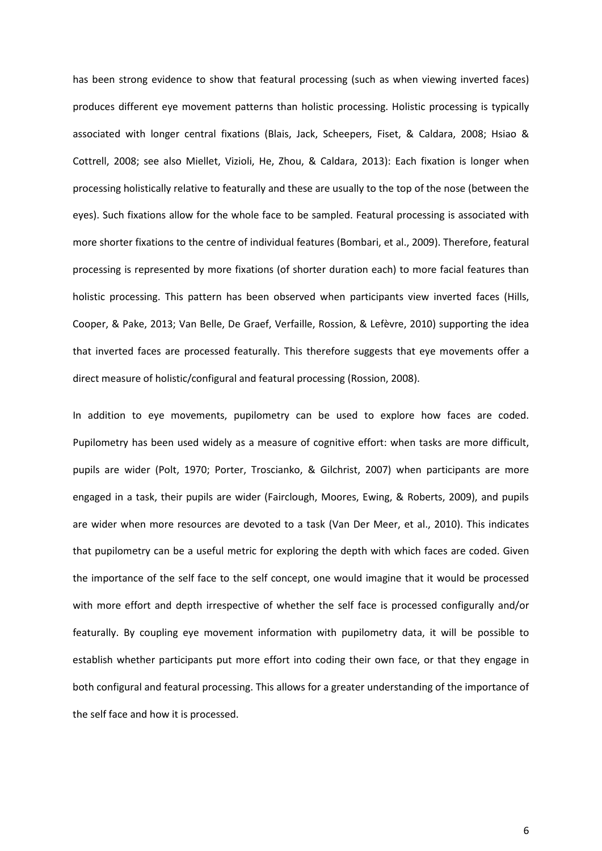has been strong evidence to show that featural processing (such as when viewing inverted faces) produces different eye movement patterns than holistic processing. Holistic processing is typically associated with longer central fixations (Blais, Jack, Scheepers, Fiset, & Caldara, 2008; Hsiao & Cottrell, 2008; see also Miellet, Vizioli, He, Zhou, & Caldara, 2013): Each fixation is longer when processing holistically relative to featurally and these are usually to the top of the nose (between the eyes). Such fixations allow for the whole face to be sampled. Featural processing is associated with more shorter fixations to the centre of individual features (Bombari, et al., 2009). Therefore, featural processing is represented by more fixations (of shorter duration each) to more facial features than holistic processing. This pattern has been observed when participants view inverted faces (Hills, Cooper, & Pake, 2013; Van Belle, De Graef, Verfaille, Rossion, & Lefèvre, 2010) supporting the idea that inverted faces are processed featurally. This therefore suggests that eye movements offer a direct measure of holistic/configural and featural processing (Rossion, 2008).

In addition to eye movements, pupilometry can be used to explore how faces are coded. Pupilometry has been used widely as a measure of cognitive effort: when tasks are more difficult, pupils are wider (Polt, 1970; Porter, Troscianko, & Gilchrist, 2007) when participants are more engaged in a task, their pupils are wider (Fairclough, Moores, Ewing, & Roberts, 2009), and pupils are wider when more resources are devoted to a task (Van Der Meer, et al., 2010). This indicates that pupilometry can be a useful metric for exploring the depth with which faces are coded. Given the importance of the self face to the self concept, one would imagine that it would be processed with more effort and depth irrespective of whether the self face is processed configurally and/or featurally. By coupling eye movement information with pupilometry data, it will be possible to establish whether participants put more effort into coding their own face, or that they engage in both configural and featural processing. This allows for a greater understanding of the importance of the self face and how it is processed.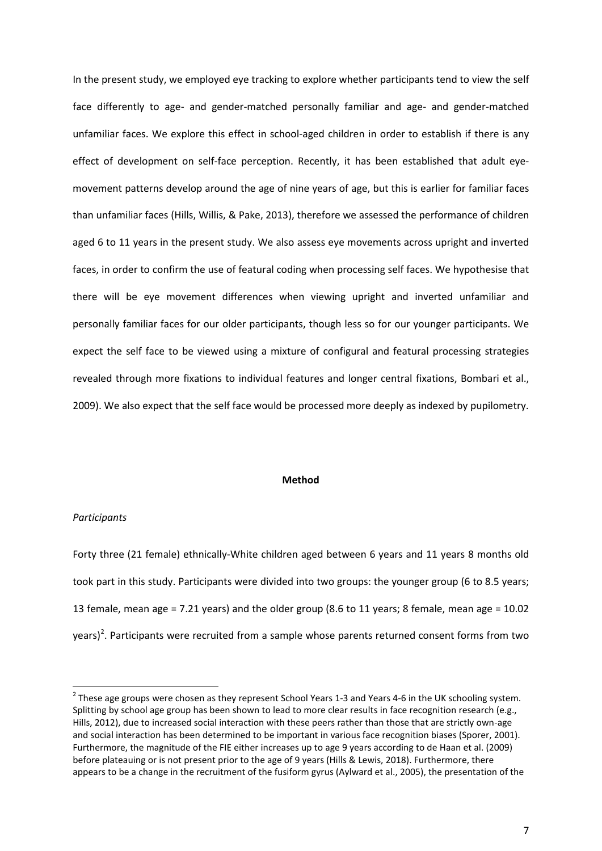In the present study, we employed eye tracking to explore whether participants tend to view the self face differently to age- and gender-matched personally familiar and age- and gender-matched unfamiliar faces. We explore this effect in school-aged children in order to establish if there is any effect of development on self-face perception. Recently, it has been established that adult eyemovement patterns develop around the age of nine years of age, but this is earlier for familiar faces than unfamiliar faces (Hills, Willis, & Pake, 2013), therefore we assessed the performance of children aged 6 to 11 years in the present study. We also assess eye movements across upright and inverted faces, in order to confirm the use of featural coding when processing self faces. We hypothesise that there will be eye movement differences when viewing upright and inverted unfamiliar and personally familiar faces for our older participants, though less so for our younger participants. We expect the self face to be viewed using a mixture of configural and featural processing strategies revealed through more fixations to individual features and longer central fixations, Bombari et al., 2009). We also expect that the self face would be processed more deeply as indexed by pupilometry.

## **Method**

## *Participants*

Forty three (21 female) ethnically-White children aged between 6 years and 11 years 8 months old took part in this study. Participants were divided into two groups: the younger group (6 to 8.5 years; 13 female, mean age = 7.21 years) and the older group (8.6 to 11 years; 8 female, mean age = 10.02  $\gamma$ ears)<sup>[2](#page-6-0)</sup>. Participants were recruited from a sample whose parents returned consent forms from two

<span id="page-6-0"></span> $2$  These age groups were chosen as they represent School Years 1-3 and Years 4-6 in the UK schooling system. Splitting by school age group has been shown to lead to more clear results in face recognition research (e.g., Hills, 2012), due to increased social interaction with these peers rather than those that are strictly own-age and social interaction has been determined to be important in various face recognition biases (Sporer, 2001). Furthermore, the magnitude of the FIE either increases up to age 9 years according to de Haan et al. (2009) before plateauing or is not present prior to the age of 9 years (Hills & Lewis, 2018). Furthermore, there appears to be a change in the recruitment of the fusiform gyrus (Aylward et al., 2005), the presentation of the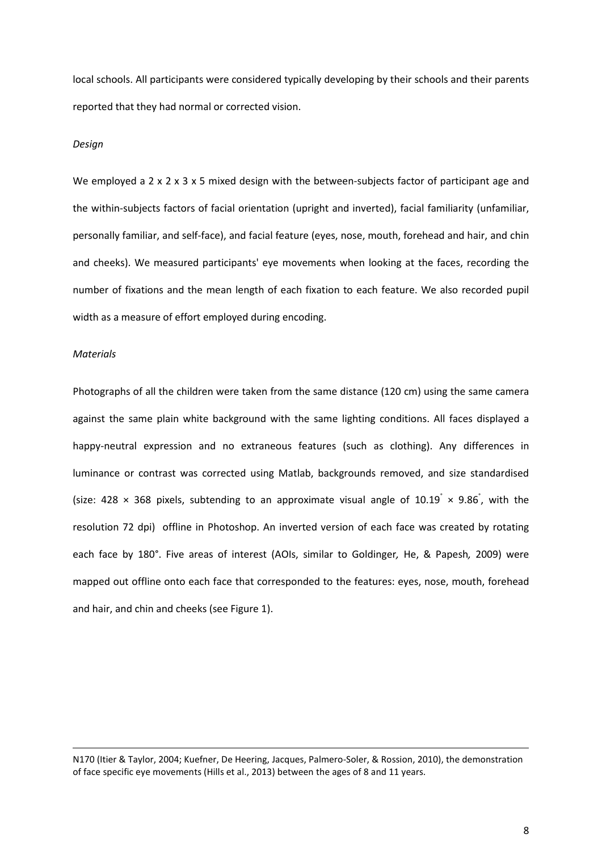local schools. All participants were considered typically developing by their schools and their parents reported that they had normal or corrected vision.

#### *Design*

We employed a  $2 \times 2 \times 3 \times 5$  mixed design with the between-subjects factor of participant age and the within-subjects factors of facial orientation (upright and inverted), facial familiarity (unfamiliar, personally familiar, and self-face), and facial feature (eyes, nose, mouth, forehead and hair, and chin and cheeks). We measured participants' eye movements when looking at the faces, recording the number of fixations and the mean length of each fixation to each feature. We also recorded pupil width as a measure of effort employed during encoding.

## *Materials*

 $\overline{\phantom{a}}$ 

Photographs of all the children were taken from the same distance (120 cm) using the same camera against the same plain white background with the same lighting conditions. All faces displayed a happy-neutral expression and no extraneous features (such as clothing). Any differences in luminance or contrast was corrected using Matlab, backgrounds removed, and size standardised (size: 428  $\times$  368 pixels, subtending to an approximate visual angle of 10.19°  $\times$  9.86°, with the resolution 72 dpi) offline in Photoshop. An inverted version of each face was created by rotating each face by 180°. Five areas of interest (AOIs, similar to Goldinger*,* He, & Papesh*,* 2009) were mapped out offline onto each face that corresponded to the features: eyes, nose, mouth, forehead and hair, and chin and cheeks (see Figure 1).

N170 (Itier & Taylor, 2004; Kuefner, De Heering, Jacques, Palmero-Soler, & Rossion, 2010), the demonstration of face specific eye movements (Hills et al., 2013) between the ages of 8 and 11 years.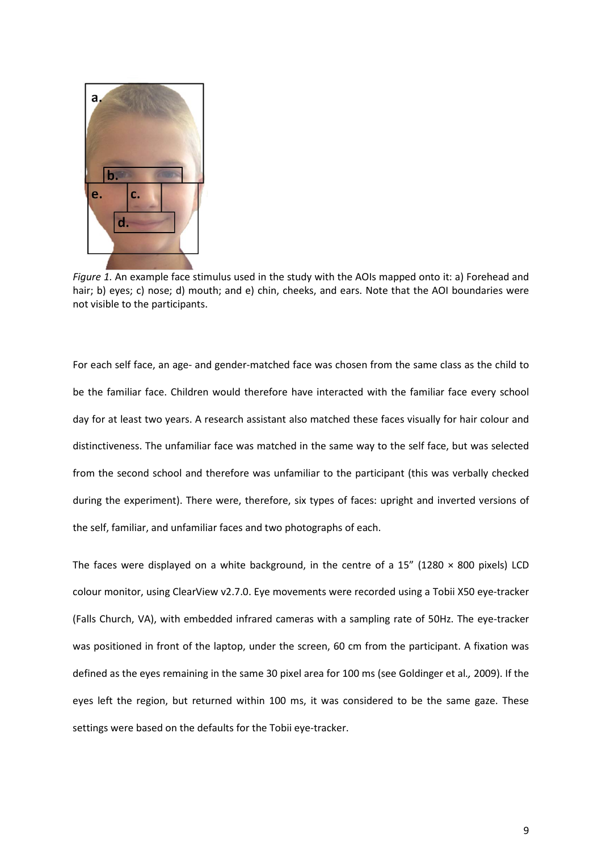

*Figure 1.* An example face stimulus used in the study with the AOIs mapped onto it: a) Forehead and hair; b) eyes; c) nose; d) mouth; and e) chin, cheeks, and ears. Note that the AOI boundaries were not visible to the participants.

For each self face, an age- and gender-matched face was chosen from the same class as the child to be the familiar face. Children would therefore have interacted with the familiar face every school day for at least two years. A research assistant also matched these faces visually for hair colour and distinctiveness. The unfamiliar face was matched in the same way to the self face, but was selected from the second school and therefore was unfamiliar to the participant (this was verbally checked during the experiment). There were, therefore, six types of faces: upright and inverted versions of the self, familiar, and unfamiliar faces and two photographs of each.

The faces were displayed on a white background, in the centre of a 15" (1280  $\times$  800 pixels) LCD colour monitor, using ClearView v2.7.0. Eye movements were recorded using a Tobii X50 eye-tracker (Falls Church, VA), with embedded infrared cameras with a sampling rate of 50Hz. The eye-tracker was positioned in front of the laptop, under the screen, 60 cm from the participant. A fixation was defined as the eyes remaining in the same 30 pixel area for 100 ms (see Goldinger et al*.,* 2009). If the eyes left the region, but returned within 100 ms, it was considered to be the same gaze. These settings were based on the defaults for the Tobii eye-tracker.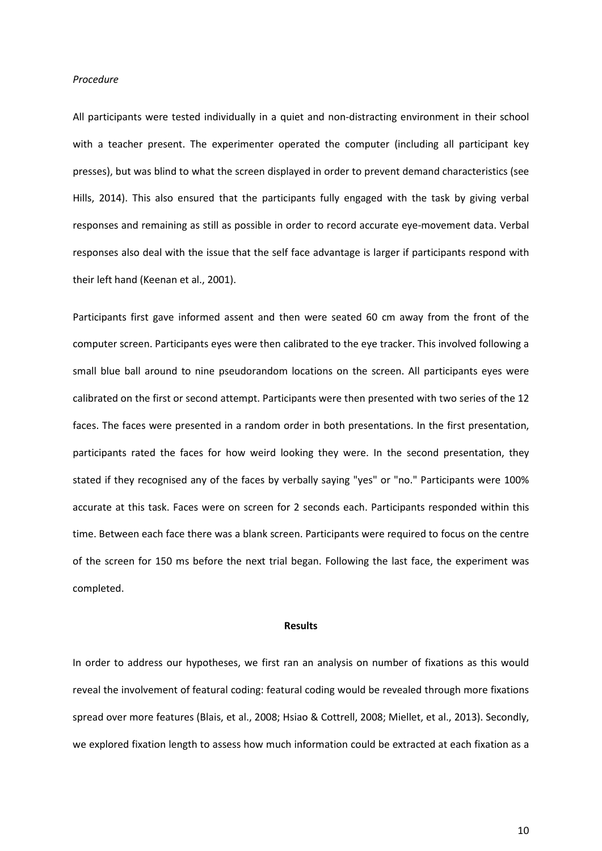#### *Procedure*

All participants were tested individually in a quiet and non-distracting environment in their school with a teacher present. The experimenter operated the computer (including all participant key presses), but was blind to what the screen displayed in order to prevent demand characteristics (see Hills, 2014). This also ensured that the participants fully engaged with the task by giving verbal responses and remaining as still as possible in order to record accurate eye-movement data. Verbal responses also deal with the issue that the self face advantage is larger if participants respond with their left hand (Keenan et al., 2001).

Participants first gave informed assent and then were seated 60 cm away from the front of the computer screen. Participants eyes were then calibrated to the eye tracker. This involved following a small blue ball around to nine pseudorandom locations on the screen. All participants eyes were calibrated on the first or second attempt. Participants were then presented with two series of the 12 faces. The faces were presented in a random order in both presentations. In the first presentation, participants rated the faces for how weird looking they were. In the second presentation, they stated if they recognised any of the faces by verbally saying "yes" or "no." Participants were 100% accurate at this task. Faces were on screen for 2 seconds each. Participants responded within this time. Between each face there was a blank screen. Participants were required to focus on the centre of the screen for 150 ms before the next trial began. Following the last face, the experiment was completed.

#### **Results**

In order to address our hypotheses, we first ran an analysis on number of fixations as this would reveal the involvement of featural coding: featural coding would be revealed through more fixations spread over more features (Blais, et al., 2008; Hsiao & Cottrell, 2008; Miellet, et al., 2013). Secondly, we explored fixation length to assess how much information could be extracted at each fixation as a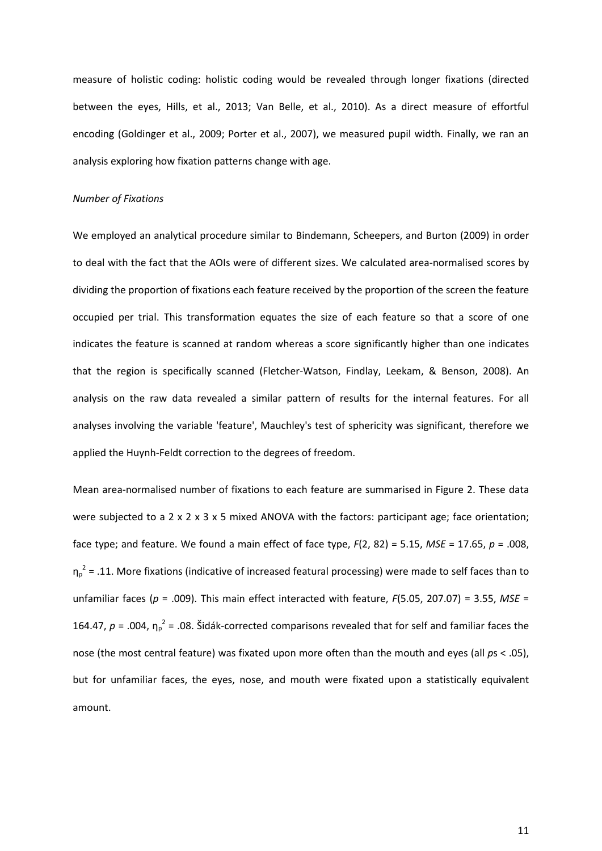measure of holistic coding: holistic coding would be revealed through longer fixations (directed between the eyes, Hills, et al., 2013; Van Belle, et al., 2010). As a direct measure of effortful encoding (Goldinger et al., 2009; Porter et al., 2007), we measured pupil width. Finally, we ran an analysis exploring how fixation patterns change with age.

## *Number of Fixations*

We employed an analytical procedure similar to Bindemann, Scheepers, and Burton (2009) in order to deal with the fact that the AOIs were of different sizes. We calculated area-normalised scores by dividing the proportion of fixations each feature received by the proportion of the screen the feature occupied per trial. This transformation equates the size of each feature so that a score of one indicates the feature is scanned at random whereas a score significantly higher than one indicates that the region is specifically scanned (Fletcher-Watson, Findlay, Leekam, & Benson, 2008). An analysis on the raw data revealed a similar pattern of results for the internal features. For all analyses involving the variable 'feature', Mauchley's test of sphericity was significant, therefore we applied the Huynh-Feldt correction to the degrees of freedom.

Mean area-normalised number of fixations to each feature are summarised in Figure 2. These data were subjected to a 2 x 2 x 3 x 5 mixed ANOVA with the factors: participant age; face orientation; face type; and feature. We found a main effect of face type, *F*(2, 82) = 5.15, *MSE* = 17.65, *p* = .008,  $\eta_p^2$  = .11. More fixations (indicative of increased featural processing) were made to self faces than to unfamiliar faces (*p* = .009). This main effect interacted with feature, *F*(5.05, 207.07) = 3.55, *MSE* = 164.47,  $p = 0.004$ ,  $\eta_p^2 = 0.08$ . Šidák-corrected comparisons revealed that for self and familiar faces the nose (the most central feature) was fixated upon more often than the mouth and eyes (all *p*s < .05), but for unfamiliar faces, the eyes, nose, and mouth were fixated upon a statistically equivalent amount.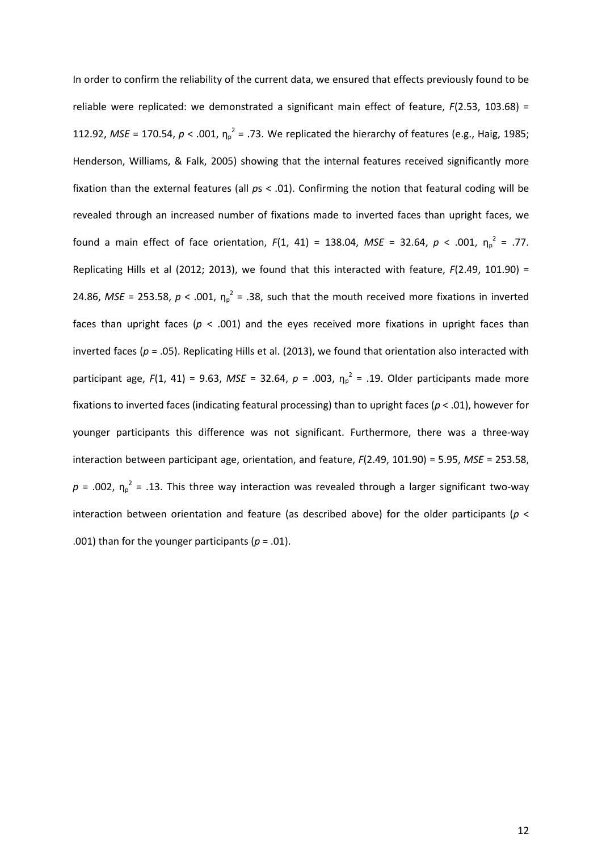In order to confirm the reliability of the current data, we ensured that effects previously found to be reliable were replicated: we demonstrated a significant main effect of feature, *F*(2.53, 103.68) = 112.92, *MSE* = 170.54,  $p < .001$ ,  $\eta_p^2 = .73$ . We replicated the hierarchy of features (e.g., Haig, 1985; Henderson, Williams, & Falk, 2005) showing that the internal features received significantly more fixation than the external features (all *p*s < .01). Confirming the notion that featural coding will be revealed through an increased number of fixations made to inverted faces than upright faces, we found a main effect of face orientation,  $F(1, 41) = 138.04$ ,  $MSE = 32.64$ ,  $p < .001$ ,  $\eta_p^2 = .77$ . Replicating Hills et al (2012; 2013), we found that this interacted with feature, *F*(2.49, 101.90) = 24.86, *MSE* = 253.58,  $p < .001$ ,  $\eta_p^2 = .38$ , such that the mouth received more fixations in inverted faces than upright faces ( $p < .001$ ) and the eyes received more fixations in upright faces than inverted faces ( $p = .05$ ). Replicating Hills et al. (2013), we found that orientation also interacted with participant age,  $F(1, 41) = 9.63$ ,  $MSE = 32.64$ ,  $p = .003$ ,  $\eta_p^2 = .19$ . Older participants made more fixations to inverted faces (indicating featural processing) than to upright faces (*p* < .01), however for younger participants this difference was not significant. Furthermore, there was a three-way interaction between participant age, orientation, and feature, *F*(2.49, 101.90) = 5.95, *MSE* = 253.58,  $p = .002$ ,  $\eta_p^2 = .13$ . This three way interaction was revealed through a larger significant two-way interaction between orientation and feature (as described above) for the older participants (*p* < .001) than for the younger participants ( $p = .01$ ).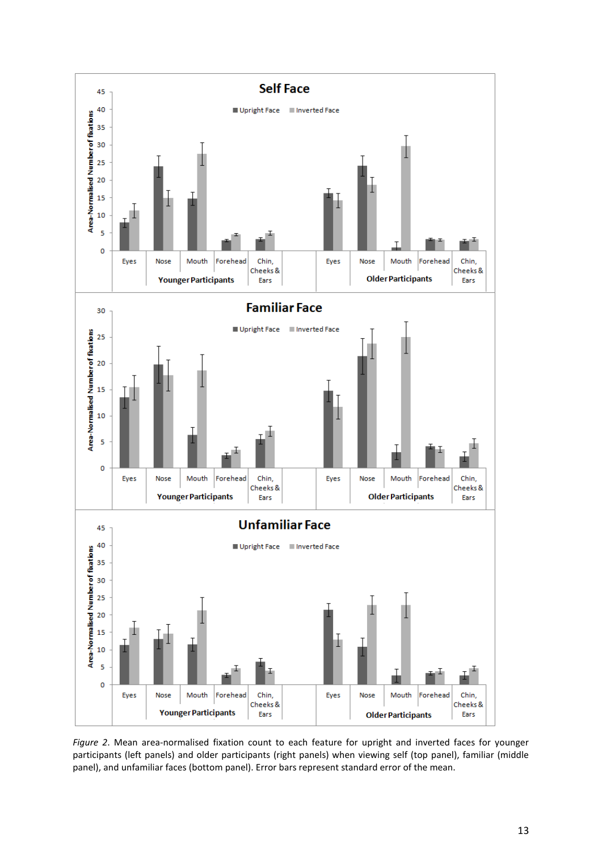

*Figure 2*. Mean area-normalised fixation count to each feature for upright and inverted faces for younger participants (left panels) and older participants (right panels) when viewing self (top panel), familiar (middle panel), and unfamiliar faces (bottom panel). Error bars represent standard error of the mean.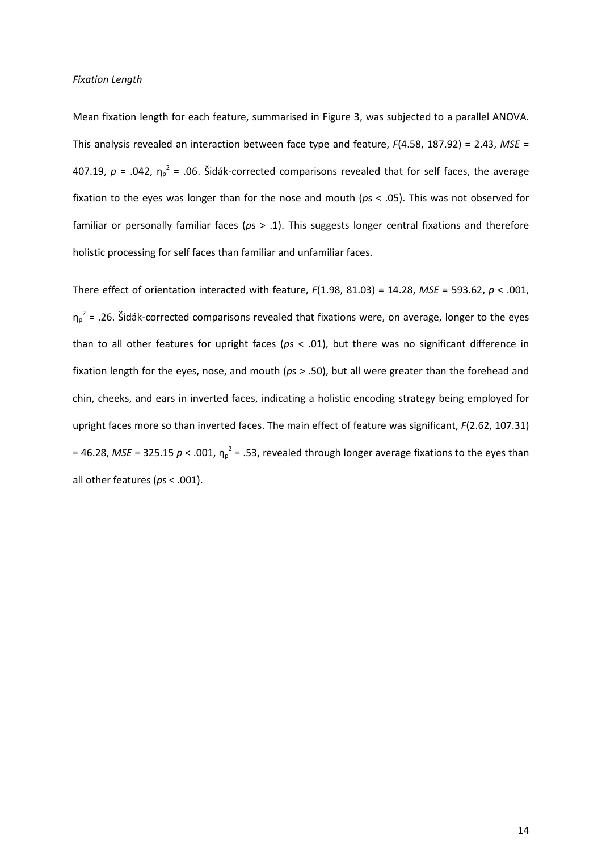#### *Fixation Length*

Mean fixation length for each feature, summarised in Figure 3, was subjected to a parallel ANOVA. This analysis revealed an interaction between face type and feature, *F*(4.58, 187.92) = 2.43, *MSE* = 407.19,  $p = .042$ ,  $\eta_p^2 = .06$ . Šidák-corrected comparisons revealed that for self faces, the average fixation to the eyes was longer than for the nose and mouth (*p*s < .05). This was not observed for familiar or personally familiar faces (*p*s > .1). This suggests longer central fixations and therefore holistic processing for self faces than familiar and unfamiliar faces.

There effect of orientation interacted with feature, *F*(1.98, 81.03) = 14.28, *MSE* = 593.62, *p* < .001,  $\eta_p^2$  = .26. Šidák-corrected comparisons revealed that fixations were, on average, longer to the eyes than to all other features for upright faces (*p*s < .01), but there was no significant difference in fixation length for the eyes, nose, and mouth (*p*s > .50), but all were greater than the forehead and chin, cheeks, and ears in inverted faces, indicating a holistic encoding strategy being employed for upright faces more so than inverted faces. The main effect of feature was significant, *F*(2.62, 107.31) = 46.28, *MSE* = 325.15  $p < .001$ ,  $\eta_p^2$  = .53, revealed through longer average fixations to the eyes than all other features (*p*s < .001).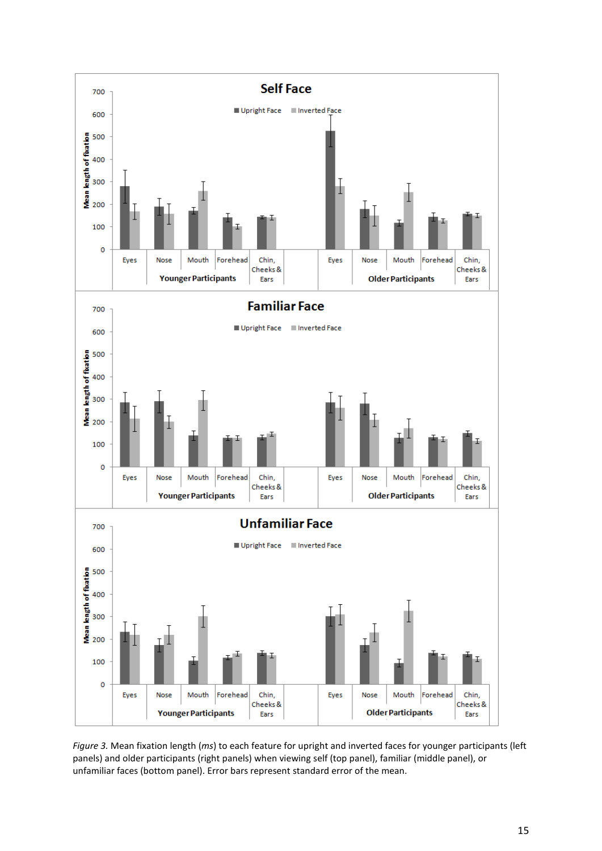

*Figure 3.* Mean fixation length (*ms*) to each feature for upright and inverted faces for younger participants (left panels) and older participants (right panels) when viewing self (top panel), familiar (middle panel), or unfamiliar faces (bottom panel). Error bars represent standard error of the mean.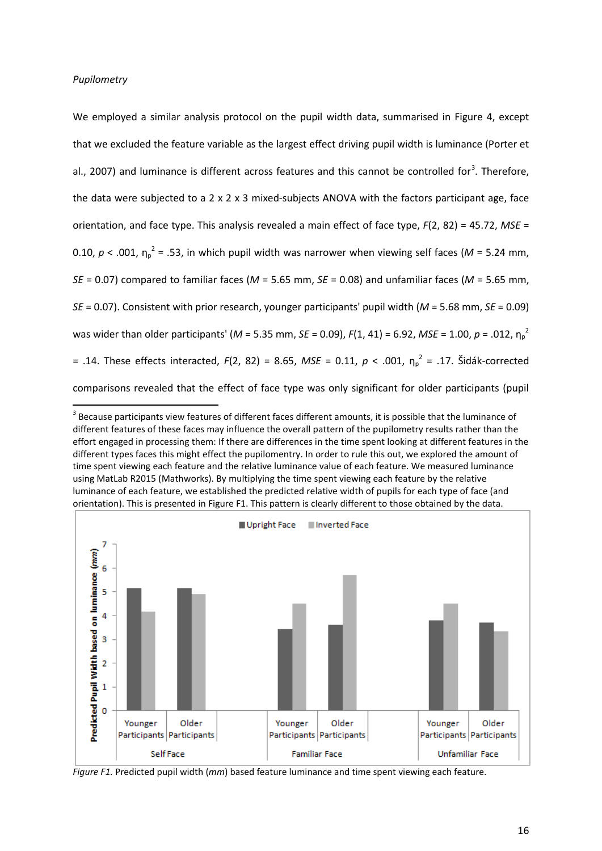## *Pupilometry*

We employed a similar analysis protocol on the pupil width data, summarised in Figure 4, except that we excluded the feature variable as the largest effect driving pupil width is luminance (Porter et al., 2007) and luminance is different across features and this cannot be controlled for<sup>[3](#page-15-0)</sup>. Therefore, the data were subjected to a 2 x 2 x 3 mixed-subjects ANOVA with the factors participant age, face orientation, and face type. This analysis revealed a main effect of face type, *F*(2, 82) = 45.72, *MSE* = 0.10,  $p < .001$ ,  $\eta_p^2 = .53$ , in which pupil width was narrower when viewing self faces (M = 5.24 mm, *SE* = 0.07) compared to familiar faces (*M* = 5.65 mm, *SE* = 0.08) and unfamiliar faces (*M* = 5.65 mm, *SE* = 0.07). Consistent with prior research, younger participants' pupil width (*M* = 5.68 mm, *SE* = 0.09) was wider than older participants' (M = 5.35 mm, *SE* = 0.09),  $F(1, 41)$  = 6.92, *MSE* = 1.00, p = .012,  $\eta_p^2$ = .14. These effects interacted, *F*(2, 82) = 8.65, *MSE* = 0.11, *p* < .001, η<sup>p</sup> <sup>2</sup> = .17. Šidák-corrected comparisons revealed that the effect of face type was only significant for older participants (pupil

<span id="page-15-0"></span> $3$  Because participants view features of different faces different amounts, it is possible that the luminance of different features of these faces may influence the overall pattern of the pupilometry results rather than the effort engaged in processing them: If there are differences in the time spent looking at different features in the different types faces this might effect the pupilomentry. In order to rule this out, we explored the amount of time spent viewing each feature and the relative luminance value of each feature. We measured luminance using MatLab R2015 (Mathworks). By multiplying the time spent viewing each feature by the relative luminance of each feature, we established the predicted relative width of pupils for each type of face (and orientation). This is presented in Figure F1. This pattern is clearly different to those obtained by the data.



*Figure F1.* Predicted pupil width (*mm*) based feature luminance and time spent viewing each feature.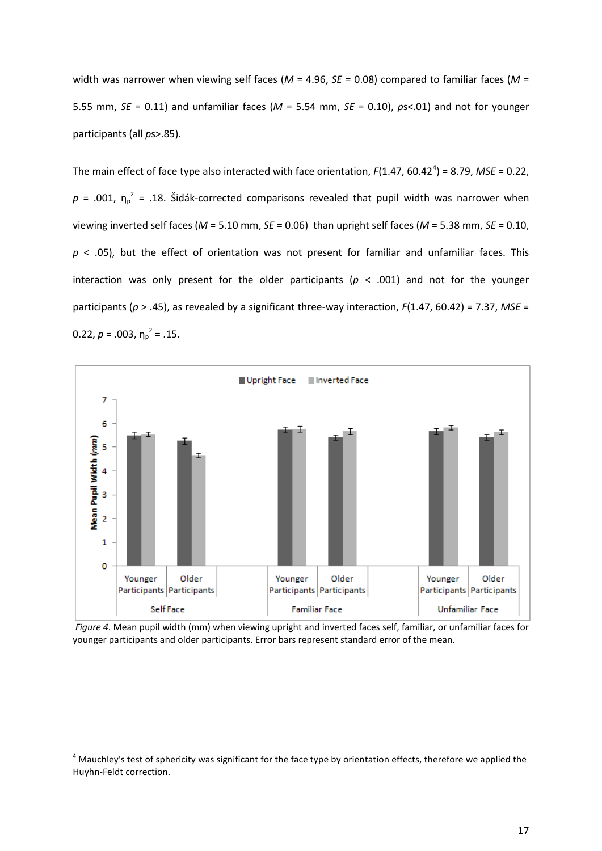width was narrower when viewing self faces (*M* = 4.96, *SE* = 0.08) compared to familiar faces (*M* = 5.55 mm, *SE* = 0.11) and unfamiliar faces (*M* = 5.54 mm, *SE* = 0.10), *p*s<.01) and not for younger participants (all *p*s>.85).

The main effect of face type also interacted with face orientation,  $F(1.47, 60.42^4) = 8.79$  $F(1.47, 60.42^4) = 8.79$  $F(1.47, 60.42^4) = 8.79$ , *MSE* = 0.22,  $p = .001$ ,  $\eta_p^2 = .18$ . Šidák-corrected comparisons revealed that pupil width was narrower when viewing inverted self faces (*M* = 5.10 mm, *SE* = 0.06) than upright self faces (*M* = 5.38 mm, *SE* = 0.10, *p* < .05), but the effect of orientation was not present for familiar and unfamiliar faces. This interaction was only present for the older participants ( $p < .001$ ) and not for the younger participants (*p* > .45), as revealed by a significant three-way interaction, *F*(1.47, 60.42) = 7.37, *MSE* = 0.22,  $p = .003$ ,  $\eta_p^2 = .15$ .



*Figure 4*. Mean pupil width (mm) when viewing upright and inverted faces self, familiar, or unfamiliar faces for younger participants and older participants. Error bars represent standard error of the mean.

<span id="page-16-0"></span> $<sup>4</sup>$  Mauchley's test of sphericity was significant for the face type by orientation effects, therefore we applied the</sup> Huyhn-Feldt correction.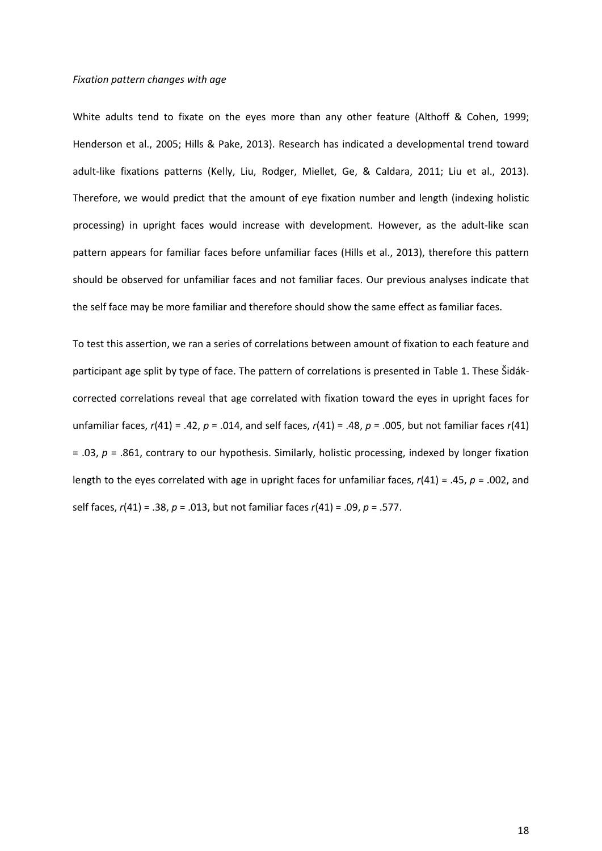#### *Fixation pattern changes with age*

White adults tend to fixate on the eyes more than any other feature (Althoff & Cohen, 1999; Henderson et al., 2005; Hills & Pake, 2013). Research has indicated a developmental trend toward adult-like fixations patterns (Kelly, Liu, Rodger, Miellet, Ge, & Caldara, 2011; Liu et al., 2013). Therefore, we would predict that the amount of eye fixation number and length (indexing holistic processing) in upright faces would increase with development. However, as the adult-like scan pattern appears for familiar faces before unfamiliar faces (Hills et al., 2013), therefore this pattern should be observed for unfamiliar faces and not familiar faces. Our previous analyses indicate that the self face may be more familiar and therefore should show the same effect as familiar faces.

To test this assertion, we ran a series of correlations between amount of fixation to each feature and participant age split by type of face. The pattern of correlations is presented in Table 1. These Šidákcorrected correlations reveal that age correlated with fixation toward the eyes in upright faces for unfamiliar faces, *r*(41) = .42, *p* = .014, and self faces, *r*(41) = .48, *p* = .005, but not familiar faces *r*(41) = .03, *p* = .861, contrary to our hypothesis. Similarly, holistic processing, indexed by longer fixation length to the eyes correlated with age in upright faces for unfamiliar faces, *r*(41) = .45, *p* = .002, and self faces, *r*(41) = .38, *p* = .013, but not familiar faces *r*(41) = .09, *p* = .577.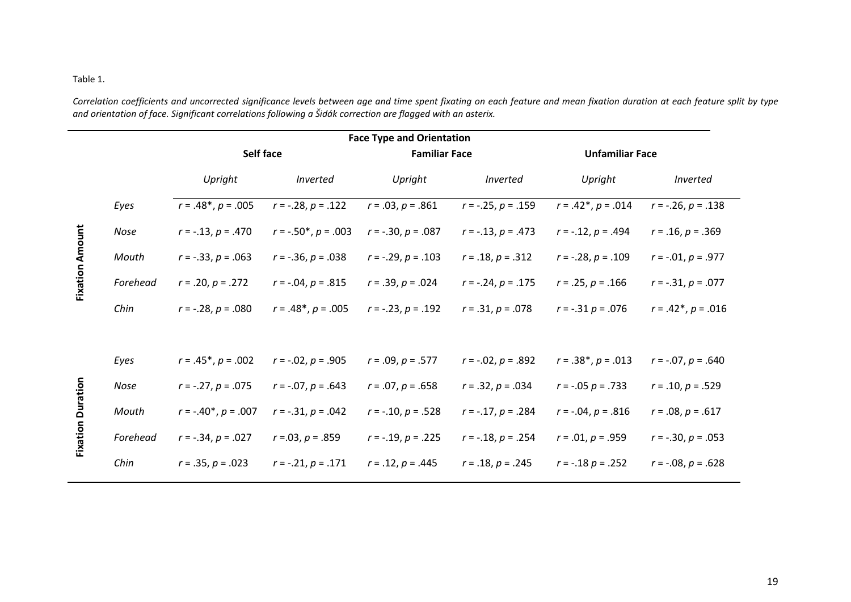## Table 1.

*Correlation coefficients and uncorrected significance levels between age and time spent fixating on each feature and mean fixation duration at each feature split by type and orientation of face. Significant correlations following a Šidák correction are flagged with an asterix.*

|                          | <b>Face Type and Orientation</b> |                           |                           |                        |                           |                          |                        |
|--------------------------|----------------------------------|---------------------------|---------------------------|------------------------|---------------------------|--------------------------|------------------------|
|                          |                                  | Self face                 |                           | <b>Familiar Face</b>   |                           | <b>Unfamiliar Face</b>   |                        |
|                          |                                  | Upright                   | Inverted                  | Upright                | Inverted                  | Upright                  | Inverted               |
| <b>Fixation Amount</b>   | Eyes                             | $r = .48^*, p = .005$     | $r = -.28, p = .122$      | $r = .03, p = .861$    | $r = -.25, p = .159$      | $r = .42^*, p = .014$    | $r = -.26, p = .138$   |
|                          | Nose                             | $r = -.13, p = .470$      | $r = -.50^*$ , $p = .003$ | $r = -.30, p = .087$   | $r = -.13, p = .473$      | $r = -.12, p = .494$     | $r = .16$ , $p = .369$ |
|                          | Mouth                            | $r = -.33, p = .063$      | $r = -.36, p = .038$      | $r = -.29, p = .103$   | $r = .18, p = .312$       | $r = -.28, p = .109$     | $r = -.01, p = .977$   |
|                          | Forehead                         | $r = .20, p = .272$       | $r = -.04, p = .815$      | $r = .39, p = .024$    | $r = -.24, p = .175$      | $r = .25, p = .166$      | $r = -.31, p = .077$   |
|                          | Chin                             | $r = -.28, p = .080$      | $r = .48^*$ , $p = .005$  | $r = -.23, p = .192$   | $r = .31, p = .078$       | $r = -.31 p = .076$      | $r = .42^*, p = .016$  |
|                          |                                  |                           |                           |                        |                           |                          |                        |
| <b>Fixation Duration</b> | Eyes                             | $r = .45^*$ , $p = .002$  | $r = -0.02$ , $p = 0.905$ | $r = .09$ , $p = .577$ | $r = -0.02$ , $p = 0.892$ | $r = .38^*$ , $p = .013$ | $r = -.07, p = .640$   |
|                          | Nose                             | $r = -.27, p = .075$      | $r = -.07, p = .643$      | $r = .07, p = .658$    | $r = .32, p = .034$       | $r = -.05 p = .733$      | $r = .10, p = .529$    |
|                          | Mouth                            | $r = -.40^*$ , $p = .007$ | $r = -.31, p = .042$      | $r = -.10, p = .528$   | $r = -.17, p = .284$      | $r = -.04, p = .816$     | $r = .08, p = .617$    |
|                          | Forehead                         | $r = -.34, p = .027$      | $r = 0.03$ , $p = 0.859$  | $r = -.19, p = .225$   | $r = -.18, p = .254$      | $r = .01, p = .959$      | $r = -.30, p = .053$   |
|                          | Chin                             | $r = .35, p = .023$       | $r = -.21, p = .171$      | $r = .12, p = .445$    | $r = .18, p = .245$       | $r = -.18 p = .252$      | $r = -.08, p = .628$   |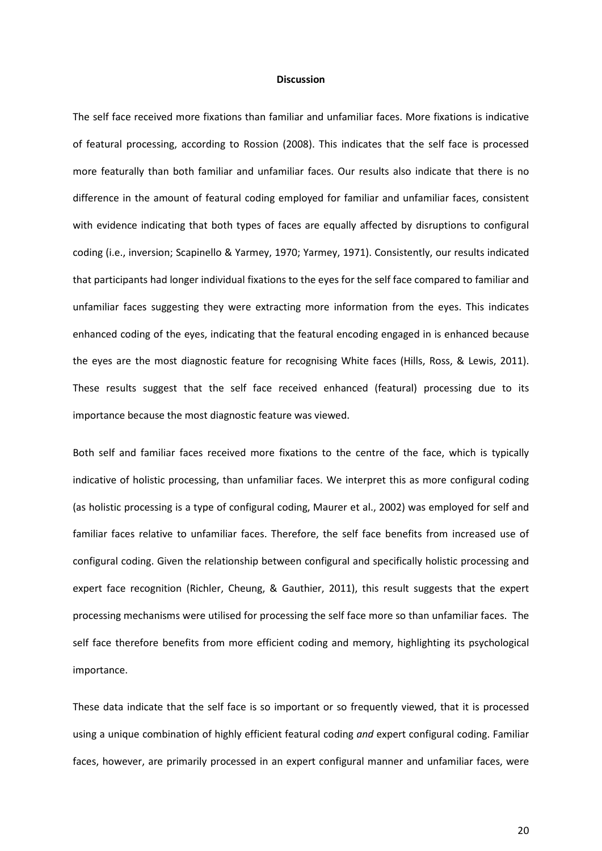#### **Discussion**

The self face received more fixations than familiar and unfamiliar faces. More fixations is indicative of featural processing, according to Rossion (2008). This indicates that the self face is processed more featurally than both familiar and unfamiliar faces. Our results also indicate that there is no difference in the amount of featural coding employed for familiar and unfamiliar faces, consistent with evidence indicating that both types of faces are equally affected by disruptions to configural coding (i.e., inversion; Scapinello & Yarmey, 1970; Yarmey, 1971). Consistently, our results indicated that participants had longer individual fixations to the eyes for the self face compared to familiar and unfamiliar faces suggesting they were extracting more information from the eyes. This indicates enhanced coding of the eyes, indicating that the featural encoding engaged in is enhanced because the eyes are the most diagnostic feature for recognising White faces (Hills, Ross, & Lewis, 2011). These results suggest that the self face received enhanced (featural) processing due to its importance because the most diagnostic feature was viewed.

Both self and familiar faces received more fixations to the centre of the face, which is typically indicative of holistic processing, than unfamiliar faces. We interpret this as more configural coding (as holistic processing is a type of configural coding, Maurer et al., 2002) was employed for self and familiar faces relative to unfamiliar faces. Therefore, the self face benefits from increased use of configural coding. Given the relationship between configural and specifically holistic processing and expert face recognition (Richler, Cheung, & Gauthier, 2011), this result suggests that the expert processing mechanisms were utilised for processing the self face more so than unfamiliar faces. The self face therefore benefits from more efficient coding and memory, highlighting its psychological importance.

These data indicate that the self face is so important or so frequently viewed, that it is processed using a unique combination of highly efficient featural coding *and* expert configural coding. Familiar faces, however, are primarily processed in an expert configural manner and unfamiliar faces, were

20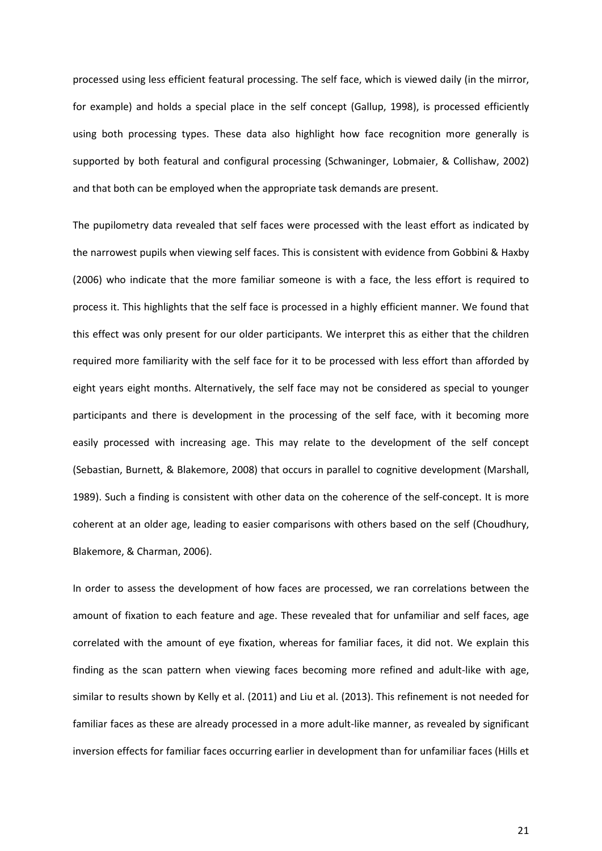processed using less efficient featural processing. The self face, which is viewed daily (in the mirror, for example) and holds a special place in the self concept (Gallup, 1998), is processed efficiently using both processing types. These data also highlight how face recognition more generally is supported by both featural and configural processing (Schwaninger, Lobmaier, & Collishaw, 2002) and that both can be employed when the appropriate task demands are present.

The pupilometry data revealed that self faces were processed with the least effort as indicated by the narrowest pupils when viewing self faces. This is consistent with evidence from Gobbini & Haxby (2006) who indicate that the more familiar someone is with a face, the less effort is required to process it. This highlights that the self face is processed in a highly efficient manner. We found that this effect was only present for our older participants. We interpret this as either that the children required more familiarity with the self face for it to be processed with less effort than afforded by eight years eight months. Alternatively, the self face may not be considered as special to younger participants and there is development in the processing of the self face, with it becoming more easily processed with increasing age. This may relate to the development of the self concept (Sebastian, Burnett, & Blakemore, 2008) that occurs in parallel to cognitive development (Marshall, 1989). Such a finding is consistent with other data on the coherence of the self-concept. It is more coherent at an older age, leading to easier comparisons with others based on the self (Choudhury, Blakemore, & Charman, 2006).

In order to assess the development of how faces are processed, we ran correlations between the amount of fixation to each feature and age. These revealed that for unfamiliar and self faces, age correlated with the amount of eye fixation, whereas for familiar faces, it did not. We explain this finding as the scan pattern when viewing faces becoming more refined and adult-like with age, similar to results shown by Kelly et al. (2011) and Liu et al. (2013). This refinement is not needed for familiar faces as these are already processed in a more adult-like manner, as revealed by significant inversion effects for familiar faces occurring earlier in development than for unfamiliar faces (Hills et

21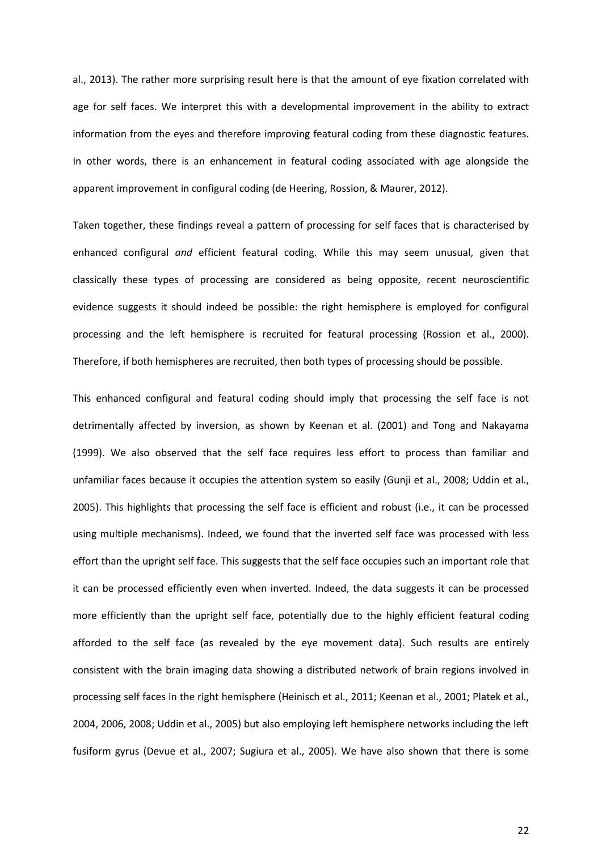al., 2013). The rather more surprising result here is that the amount of eye fixation correlated with age for self faces. We interpret this with a developmental improvement in the ability to extract information from the eyes and therefore improving featural coding from these diagnostic features. In other words, there is an enhancement in featural coding associated with age alongside the apparent improvement in configural coding (de Heering, Rossion, & Maurer, 2012).

Taken together, these findings reveal a pattern of processing for self faces that is characterised by enhanced configural *and* efficient featural coding. While this may seem unusual, given that classically these types of processing are considered as being opposite, recent neuroscientific evidence suggests it should indeed be possible: the right hemisphere is employed for configural processing and the left hemisphere is recruited for featural processing (Rossion et al., 2000). Therefore, if both hemispheres are recruited, then both types of processing should be possible.

This enhanced configural and featural coding should imply that processing the self face is not detrimentally affected by inversion, as shown by Keenan et al. (2001) and Tong and Nakayama (1999). We also observed that the self face requires less effort to process than familiar and unfamiliar faces because it occupies the attention system so easily (Gunji et al., 2008; Uddin et al., 2005). This highlights that processing the self face is efficient and robust (i.e., it can be processed using multiple mechanisms). Indeed, we found that the inverted self face was processed with less effort than the upright self face. This suggests that the self face occupies such an important role that it can be processed efficiently even when inverted. Indeed, the data suggests it can be processed more efficiently than the upright self face, potentially due to the highly efficient featural coding afforded to the self face (as revealed by the eye movement data). Such results are entirely consistent with the brain imaging data showing a distributed network of brain regions involved in processing self faces in the right hemisphere (Heinisch et al., 2011; Keenan et al., 2001; Platek et al., 2004, 2006, 2008; Uddin et al., 2005) but also employing left hemisphere networks including the left fusiform gyrus (Devue et al., 2007; Sugiura et al., 2005). We have also shown that there is some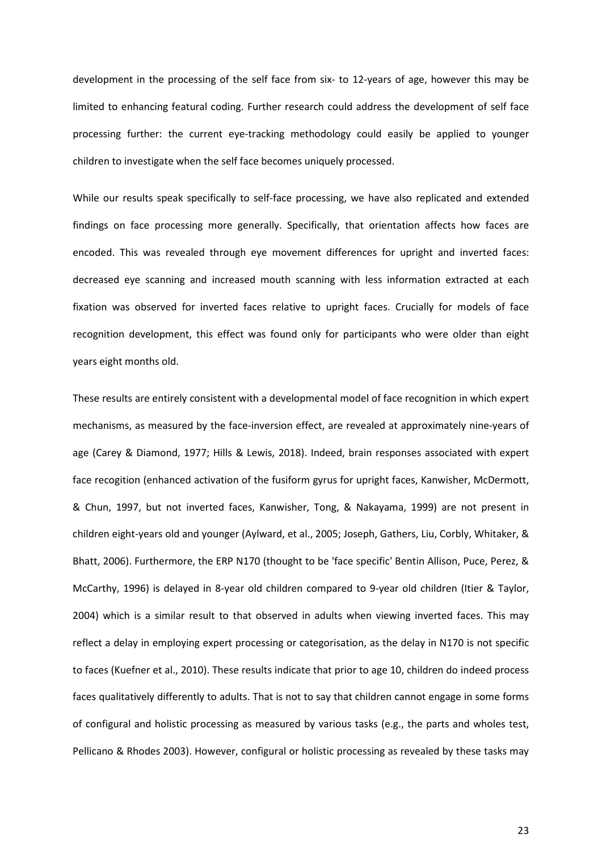development in the processing of the self face from six- to 12-years of age, however this may be limited to enhancing featural coding. Further research could address the development of self face processing further: the current eye-tracking methodology could easily be applied to younger children to investigate when the self face becomes uniquely processed.

While our results speak specifically to self-face processing, we have also replicated and extended findings on face processing more generally. Specifically, that orientation affects how faces are encoded. This was revealed through eye movement differences for upright and inverted faces: decreased eye scanning and increased mouth scanning with less information extracted at each fixation was observed for inverted faces relative to upright faces. Crucially for models of face recognition development, this effect was found only for participants who were older than eight years eight months old.

These results are entirely consistent with a developmental model of face recognition in which expert mechanisms, as measured by the face-inversion effect, are revealed at approximately nine-years of age (Carey & Diamond, 1977; Hills & Lewis, 2018). Indeed, brain responses associated with expert face recogition (enhanced activation of the fusiform gyrus for upright faces, Kanwisher, McDermott, & Chun, 1997, but not inverted faces, Kanwisher, Tong, & Nakayama, 1999) are not present in children eight-years old and younger (Aylward, et al., 2005; Joseph, Gathers, Liu, Corbly, Whitaker, & Bhatt, 2006). Furthermore, the ERP N170 (thought to be 'face specific' Bentin Allison, Puce, Perez, & McCarthy, 1996) is delayed in 8-year old children compared to 9-year old children (Itier & Taylor, 2004) which is a similar result to that observed in adults when viewing inverted faces. This may reflect a delay in employing expert processing or categorisation, as the delay in N170 is not specific to faces (Kuefner et al., 2010). These results indicate that prior to age 10, children do indeed process faces qualitatively differently to adults. That is not to say that children cannot engage in some forms of configural and holistic processing as measured by various tasks (e.g., the parts and wholes test, Pellicano & Rhodes 2003). However, configural or holistic processing as revealed by these tasks may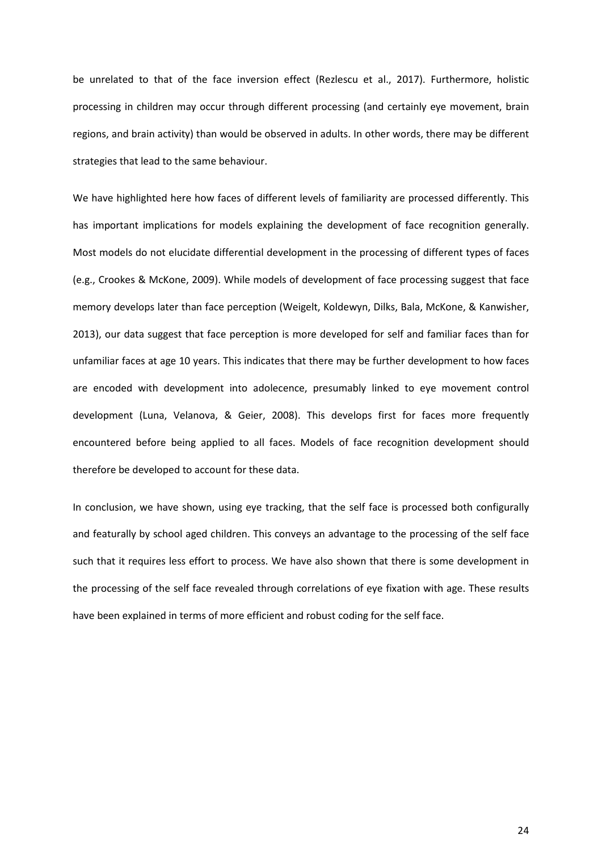be unrelated to that of the face inversion effect (Rezlescu et al., 2017). Furthermore, holistic processing in children may occur through different processing (and certainly eye movement, brain regions, and brain activity) than would be observed in adults. In other words, there may be different strategies that lead to the same behaviour.

We have highlighted here how faces of different levels of familiarity are processed differently. This has important implications for models explaining the development of face recognition generally. Most models do not elucidate differential development in the processing of different types of faces (e.g., Crookes & McKone, 2009). While models of development of face processing suggest that face memory develops later than face perception (Weigelt, Koldewyn, Dilks, Bala, McKone, & Kanwisher, 2013), our data suggest that face perception is more developed for self and familiar faces than for unfamiliar faces at age 10 years. This indicates that there may be further development to how faces are encoded with development into adolecence, presumably linked to eye movement control development (Luna, Velanova, & Geier, 2008). This develops first for faces more frequently encountered before being applied to all faces. Models of face recognition development should therefore be developed to account for these data.

In conclusion, we have shown, using eye tracking, that the self face is processed both configurally and featurally by school aged children. This conveys an advantage to the processing of the self face such that it requires less effort to process. We have also shown that there is some development in the processing of the self face revealed through correlations of eye fixation with age. These results have been explained in terms of more efficient and robust coding for the self face.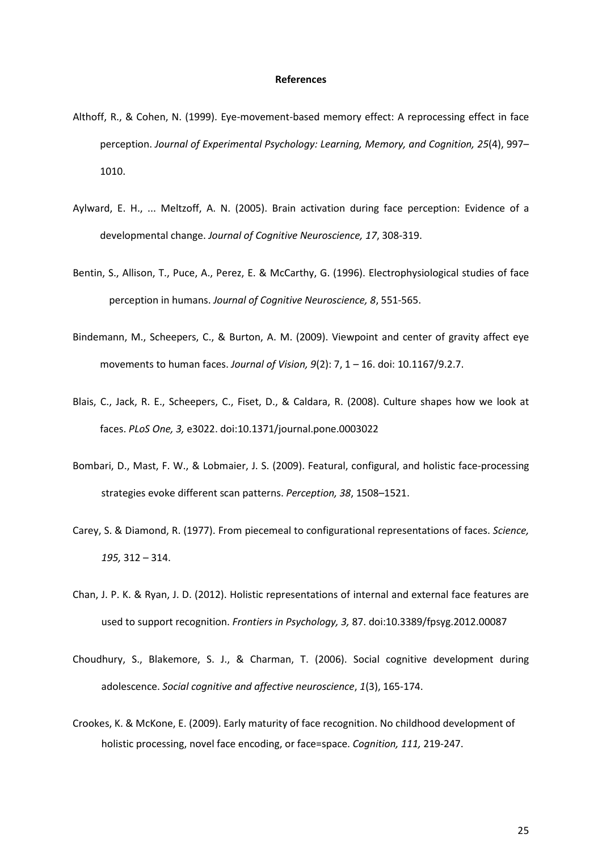#### **References**

- Althoff, R., & Cohen, N. (1999). Eye-movement-based memory effect: A reprocessing effect in face perception. *Journal of Experimental Psychology: Learning, Memory, and Cognition, 25*(4), 997– 1010.
- Aylward, E. H., ... Meltzoff, A. N. (2005). Brain activation during face perception: Evidence of a developmental change. *Journal of Cognitive Neuroscience, 17*, 308-319.
- Bentin, S., Allison, T., Puce, A., Perez, E. & McCarthy, G. (1996). Electrophysiological studies of face perception in humans. *Journal of Cognitive Neuroscience, 8*, 551-565.
- Bindemann, M., Scheepers, C., & Burton, A. M. (2009). Viewpoint and center of gravity affect eye movements to human faces. *Journal of Vision, 9*(2): 7, 1 – 16. doi: 10.1167/9.2.7.
- Blais, C., Jack, R. E., Scheepers, C., Fiset, D., & Caldara, R. (2008). Culture shapes how we look at faces. *PLoS One, 3,* e3022. doi:10.1371/journal.pone.0003022
- Bombari, D., Mast, F. W., & Lobmaier, J. S. (2009). Featural, configural, and holistic face-processing strategies evoke different scan patterns. *Perception, 38*, 1508–1521.
- Carey, S. & Diamond, R. (1977). From piecemeal to configurational representations of faces. *Science, 195,* 312 – 314.
- Chan, J. P. K. & Ryan, J. D. (2012). Holistic representations of internal and external face features are used to support recognition. *Frontiers in Psychology, 3,* 87. doi:10.3389/fpsyg.2012.00087
- Choudhury, S., Blakemore, S. J., & Charman, T. (2006). Social cognitive development during adolescence. *Social cognitive and affective neuroscience*, *1*(3), 165-174.
- Crookes, K. & McKone, E. (2009). Early maturity of face recognition. No childhood development of holistic processing, novel face encoding, or face=space. *Cognition, 111,* 219-247.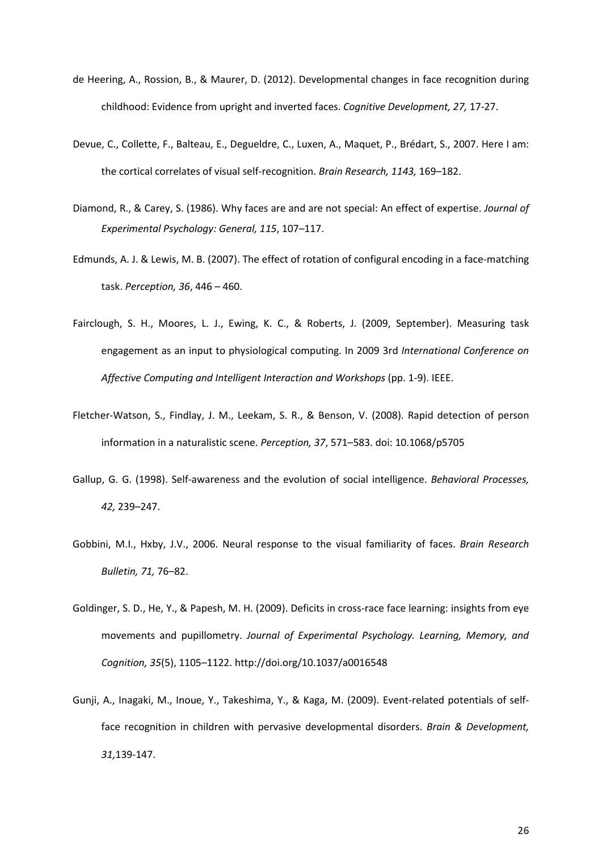- de Heering, A., Rossion, B., & Maurer, D. (2012). Developmental changes in face recognition during childhood: Evidence from upright and inverted faces. *Cognitive Development, 27,* 17-27.
- Devue, C., Collette, F., Balteau, E., Degueldre, C., Luxen, A., Maquet, P., Brédart, S., 2007. Here I am: the cortical correlates of visual self-recognition. *Brain Research, 1143,* 169–182.
- Diamond, R., & Carey, S. (1986). Why faces are and are not special: An effect of expertise. *Journal of Experimental Psychology: General, 115*, 107–117.
- Edmunds, A. J. & Lewis, M. B. (2007). The effect of rotation of configural encoding in a face-matching task. *Perception, 36*, 446 – 460.
- Fairclough, S. H., Moores, L. J., Ewing, K. C., & Roberts, J. (2009, September). Measuring task engagement as an input to physiological computing. In 2009 3rd *International Conference on Affective Computing and Intelligent Interaction and Workshops* (pp. 1-9). IEEE.
- Fletcher-Watson, S., Findlay, J. M., Leekam, S. R., & Benson, V. (2008). Rapid detection of person information in a naturalistic scene. *Perception, 37*, 571–583. doi: 10.1068/p5705
- Gallup, G. G. (1998). Self-awareness and the evolution of social intelligence. *Behavioral Processes, 42,* 239–247.
- Gobbini, M.I., Hxby, J.V., 2006. Neural response to the visual familiarity of faces. *Brain Research Bulletin, 71,* 76–82.
- Goldinger, S. D., He, Y., & Papesh, M. H. (2009). Deficits in cross-race face learning: insights from eye movements and pupillometry. *Journal of Experimental Psychology. Learning, Memory, and Cognition, 35*(5), 1105–1122. http://doi.org/10.1037/a0016548
- Gunji, A., Inagaki, M., Inoue, Y., Takeshima, Y., & Kaga, M. (2009). Event-related potentials of selfface recognition in children with pervasive developmental disorders. *Brain & Development, 31,*139-147.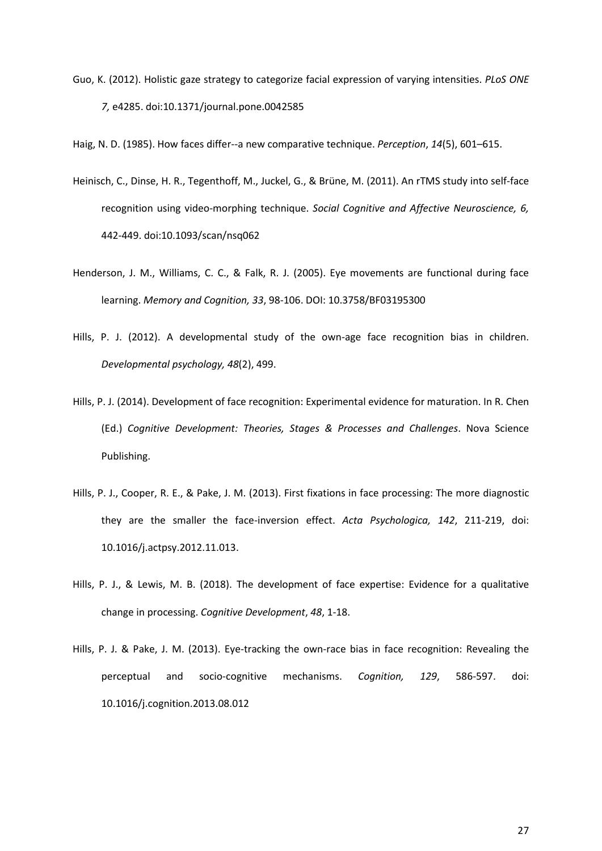Guo, K. (2012). Holistic gaze strategy to categorize facial expression of varying intensities. *PLoS ONE 7,* e4285. doi:10.1371/journal.pone.0042585

Haig, N. D. (1985). How faces differ--a new comparative technique. *Perception*, *14*(5), 601–615.

- Heinisch, C., Dinse, H. R., Tegenthoff, M., Juckel, G., & Brüne, M. (2011). An rTMS study into self-face recognition using video-morphing technique. *Social Cognitive and Affective Neuroscience, 6,* 442-449. doi:10.1093/scan/nsq062
- Henderson, J. M., Williams, C. C., & Falk, R. J. (2005). Eye movements are functional during face learning. *Memory and Cognition, 33*, 98-106. DOI: 10.3758/BF03195300
- Hills, P. J. (2012). A developmental study of the own-age face recognition bias in children. *Developmental psychology, 48*(2), 499.
- Hills, P. J. (2014). Development of face recognition: Experimental evidence for maturation. In R. Chen (Ed.) *Cognitive Development: Theories, Stages & Processes and Challenges*. Nova Science Publishing.
- Hills, P. J., Cooper, R. E., & Pake, J. M. (2013). First fixations in face processing: The more diagnostic they are the smaller the face-inversion effect. *Acta Psychologica, 142*, 211-219, doi: 10.1016/j.actpsy.2012.11.013.
- Hills, P. J., & Lewis, M. B. (2018). The development of face expertise: Evidence for a qualitative change in processing. *Cognitive Development*, *48*, 1-18.
- Hills, P. J. & Pake, J. M. (2013). Eye-tracking the own-race bias in face recognition: Revealing the perceptual and socio-cognitive mechanisms. *Cognition, 129*, 586-597. doi: 10.1016/j.cognition.2013.08.012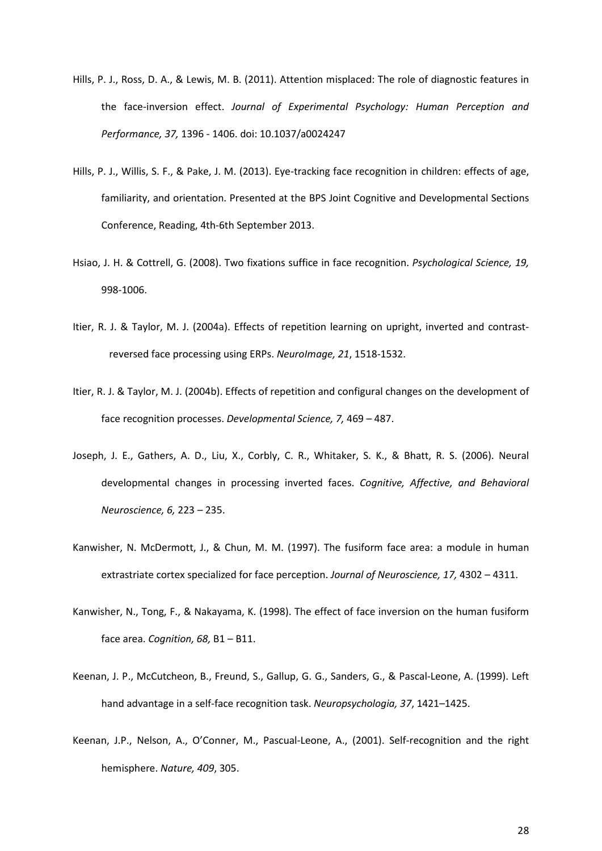- Hills, P. J., Ross, D. A., & Lewis, M. B. (2011). Attention misplaced: The role of diagnostic features in the face-inversion effect. *Journal of Experimental Psychology: Human Perception and Performance, 37,* 1396 - 1406. doi: 10.1037/a0024247
- Hills, P. J., Willis, S. F., & Pake, J. M. (2013). Eye-tracking face recognition in children: effects of age, familiarity, and orientation. Presented at the BPS Joint Cognitive and Developmental Sections Conference, Reading, 4th-6th September 2013.
- Hsiao, J. H. & Cottrell, G. (2008). Two fixations suffice in face recognition. *Psychological Science, 19,* 998-1006.
- Itier, R. J. & Taylor, M. J. (2004a). Effects of repetition learning on upright, inverted and contrastreversed face processing using ERPs. *NeuroImage, 21*, 1518-1532.
- Itier, R. J. & Taylor, M. J. (2004b). Effects of repetition and configural changes on the development of face recognition processes. *Developmental Science, 7,* 469 – 487.
- Joseph, J. E., Gathers, A. D., Liu, X., Corbly, C. R., Whitaker, S. K., & Bhatt, R. S. (2006). Neural developmental changes in processing inverted faces. *Cognitive, Affective, and Behavioral Neuroscience, 6,* 223 – 235.
- Kanwisher, N. McDermott, J., & Chun, M. M. (1997). The fusiform face area: a module in human extrastriate cortex specialized for face perception. *Journal of Neuroscience, 17,* 4302 – 4311.
- Kanwisher, N., Tong, F., & Nakayama, K. (1998). The effect of face inversion on the human fusiform face area. *Cognition, 68,* B1 – B11.
- Keenan, J. P., McCutcheon, B., Freund, S., Gallup, G. G., Sanders, G., & Pascal-Leone, A. (1999). Left hand advantage in a self-face recognition task. *Neuropsychologia, 37*, 1421–1425.
- Keenan, J.P., Nelson, A., O'Conner, M., Pascual-Leone, A., (2001). Self-recognition and the right hemisphere. *Nature, 409*, 305.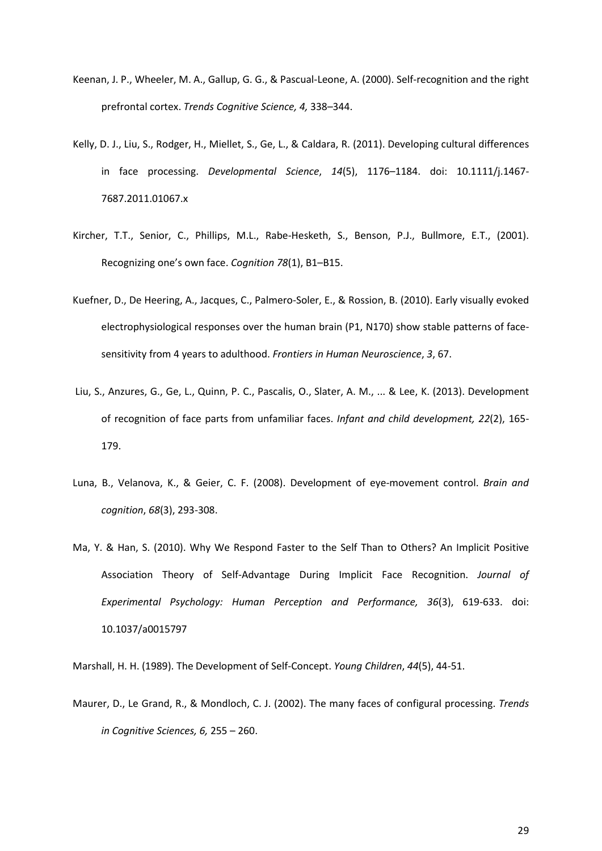- Keenan, J. P., Wheeler, M. A., Gallup, G. G., & Pascual-Leone, A. (2000). Self-recognition and the right prefrontal cortex. *Trends Cognitive Science, 4,* 338–344.
- Kelly, D. J., Liu, S., Rodger, H., Miellet, S., Ge, L., & Caldara, R. (2011). Developing cultural differences in face processing. *Developmental Science*, *14*(5), 1176–1184. doi: 10.1111/j.1467- 7687.2011.01067.x
- Kircher, T.T., Senior, C., Phillips, M.L., Rabe-Hesketh, S., Benson, P.J., Bullmore, E.T., (2001). Recognizing one's own face. *Cognition 78*(1), B1–B15.
- Kuefner, D., De Heering, A., Jacques, C., Palmero-Soler, E., & Rossion, B. (2010). Early visually evoked electrophysiological responses over the human brain (P1, N170) show stable patterns of facesensitivity from 4 years to adulthood. *Frontiers in Human Neuroscience*, *3*, 67.
- Liu, S., Anzures, G., Ge, L., Quinn, P. C., Pascalis, O., Slater, A. M., ... & Lee, K. (2013). Development of recognition of face parts from unfamiliar faces. *Infant and child development, 22*(2), 165- 179.
- Luna, B., Velanova, K., & Geier, C. F. (2008). Development of eye-movement control. *Brain and cognition*, *68*(3), 293-308.
- Ma, Y. & Han, S. (2010). Why We Respond Faster to the Self Than to Others? An Implicit Positive Association Theory of Self-Advantage During Implicit Face Recognition. *Journal of Experimental Psychology: Human Perception and Performance, 36*(3), 619-633. doi: 10.1037/a0015797

Marshall, H. H. (1989). The Development of Self-Concept. *Young Children*, *44*(5), 44-51.

Maurer, D., Le Grand, R., & Mondloch, C. J. (2002). The many faces of configural processing. *Trends in Cognitive Sciences, 6,* 255 – 260.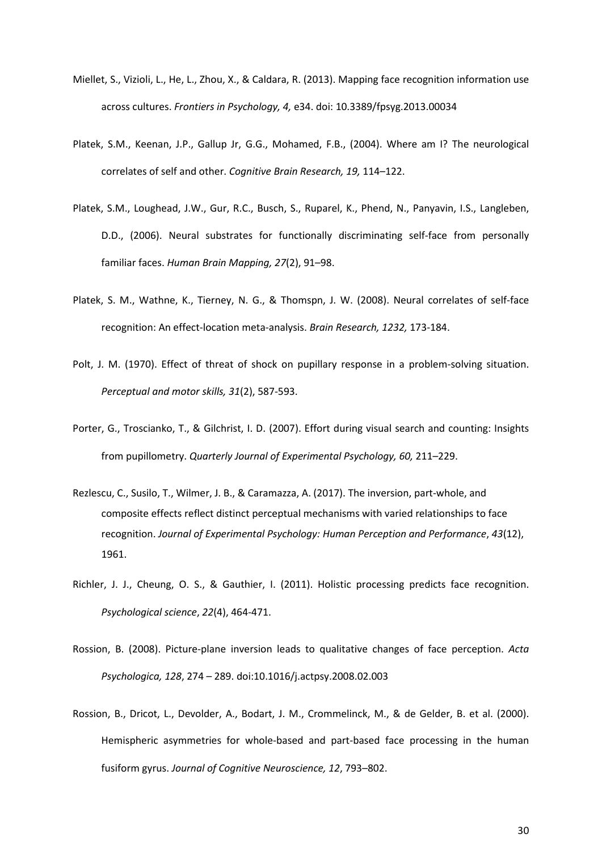- Miellet, S., Vizioli, L., He, L., Zhou, X., & Caldara, R. (2013). Mapping face recognition information use across cultures. *Frontiers in Psychology, 4,* e34. doi: 10.3389/fpsyg.2013.00034
- Platek, S.M., Keenan, J.P., Gallup Jr, G.G., Mohamed, F.B., (2004). Where am I? The neurological correlates of self and other. *Cognitive Brain Research, 19,* 114–122.
- Platek, S.M., Loughead, J.W., Gur, R.C., Busch, S., Ruparel, K., Phend, N., Panyavin, I.S., Langleben, D.D., (2006). Neural substrates for functionally discriminating self-face from personally familiar faces. *Human Brain Mapping, 27*(2), 91–98.
- Platek, S. M., Wathne, K., Tierney, N. G., & Thomspn, J. W. (2008). Neural correlates of self-face recognition: An effect-location meta-analysis. *Brain Research, 1232,* 173-184.
- Polt, J. M. (1970). Effect of threat of shock on pupillary response in a problem-solving situation. *Perceptual and motor skills, 31*(2), 587-593.
- Porter, G., Troscianko, T., & Gilchrist, I. D. (2007). Effort during visual search and counting: Insights from pupillometry. *Quarterly Journal of Experimental Psychology, 60,* 211–229.
- Rezlescu, C., Susilo, T., Wilmer, J. B., & Caramazza, A. (2017). The inversion, part-whole, and composite effects reflect distinct perceptual mechanisms with varied relationships to face recognition. *Journal of Experimental Psychology: Human Perception and Performance*, *43*(12), 1961.
- Richler, J. J., Cheung, O. S., & Gauthier, I. (2011). Holistic processing predicts face recognition. *Psychological science*, *22*(4), 464-471.
- Rossion, B. (2008). Picture-plane inversion leads to qualitative changes of face perception. *Acta Psychologica, 128*, 274 – 289. doi:10.1016/j.actpsy.2008.02.003
- Rossion, B., Dricot, L., Devolder, A., Bodart, J. M., Crommelinck, M., & de Gelder, B. et al. (2000). Hemispheric asymmetries for whole-based and part-based face processing in the human fusiform gyrus. *Journal of Cognitive Neuroscience, 12*, 793–802.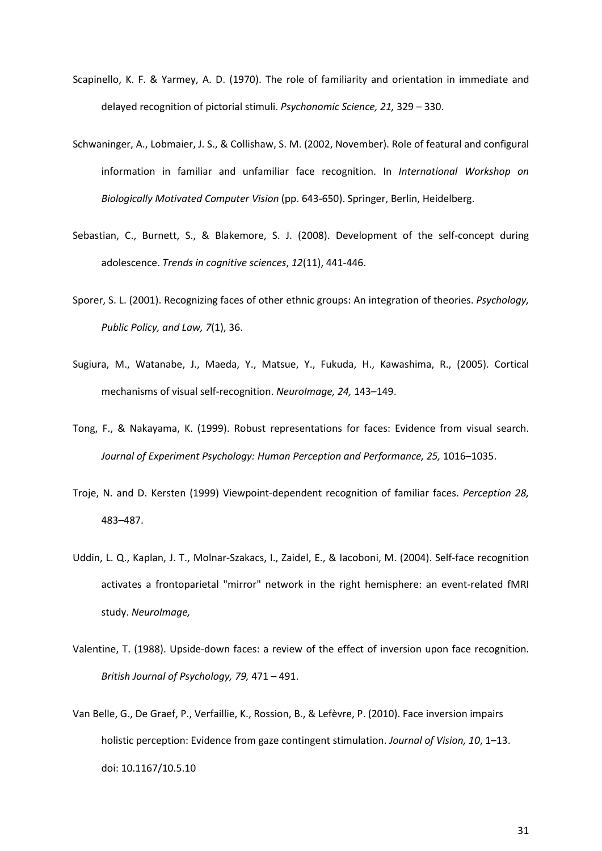- Scapinello, K. F. & Yarmey, A. D. (1970). The role of familiarity and orientation in immediate and delayed recognition of pictorial stimuli. *Psychonomic Science, 21,* 329 – 330.
- Schwaninger, A., Lobmaier, J. S., & Collishaw, S. M. (2002, November). Role of featural and configural information in familiar and unfamiliar face recognition. In *International Workshop on Biologically Motivated Computer Vision* (pp. 643-650). Springer, Berlin, Heidelberg.
- Sebastian, C., Burnett, S., & Blakemore, S. J. (2008). Development of the self-concept during adolescence. *Trends in cognitive sciences*, *12*(11), 441-446.
- Sporer, S. L. (2001). Recognizing faces of other ethnic groups: An integration of theories. *Psychology, Public Policy, and Law, 7*(1), 36.
- Sugiura, M., Watanabe, J., Maeda, Y., Matsue, Y., Fukuda, H., Kawashima, R., (2005). Cortical mechanisms of visual self-recognition. *NeuroImage, 24,* 143–149.
- Tong, F., & Nakayama, K. (1999). Robust representations for faces: Evidence from visual search. *Journal of Experiment Psychology: Human Perception and Performance, 25,* 1016–1035.
- Troje, N. and D. Kersten (1999) Viewpoint-dependent recognition of familiar faces. *Perception 28,* 483–487.
- Uddin, L. Q., Kaplan, J. T., Molnar-Szakacs, I., Zaidel, E., & Iacoboni, M. (2004). Self-face recognition activates a frontoparietal "mirror" network in the right hemisphere: an event-related fMRI study. *NeuroImage,*
- Valentine, T. (1988). Upside-down faces: a review of the effect of inversion upon face recognition. *British Journal of Psychology, 79,* 471 – 491.
- Van Belle, G., De Graef, P., Verfaillie, K., Rossion, B., & Lefèvre, P. (2010). Face inversion impairs holistic perception: Evidence from gaze contingent stimulation. *Journal of Vision, 10*, 1–13. doi: 10.1167/10.5.10